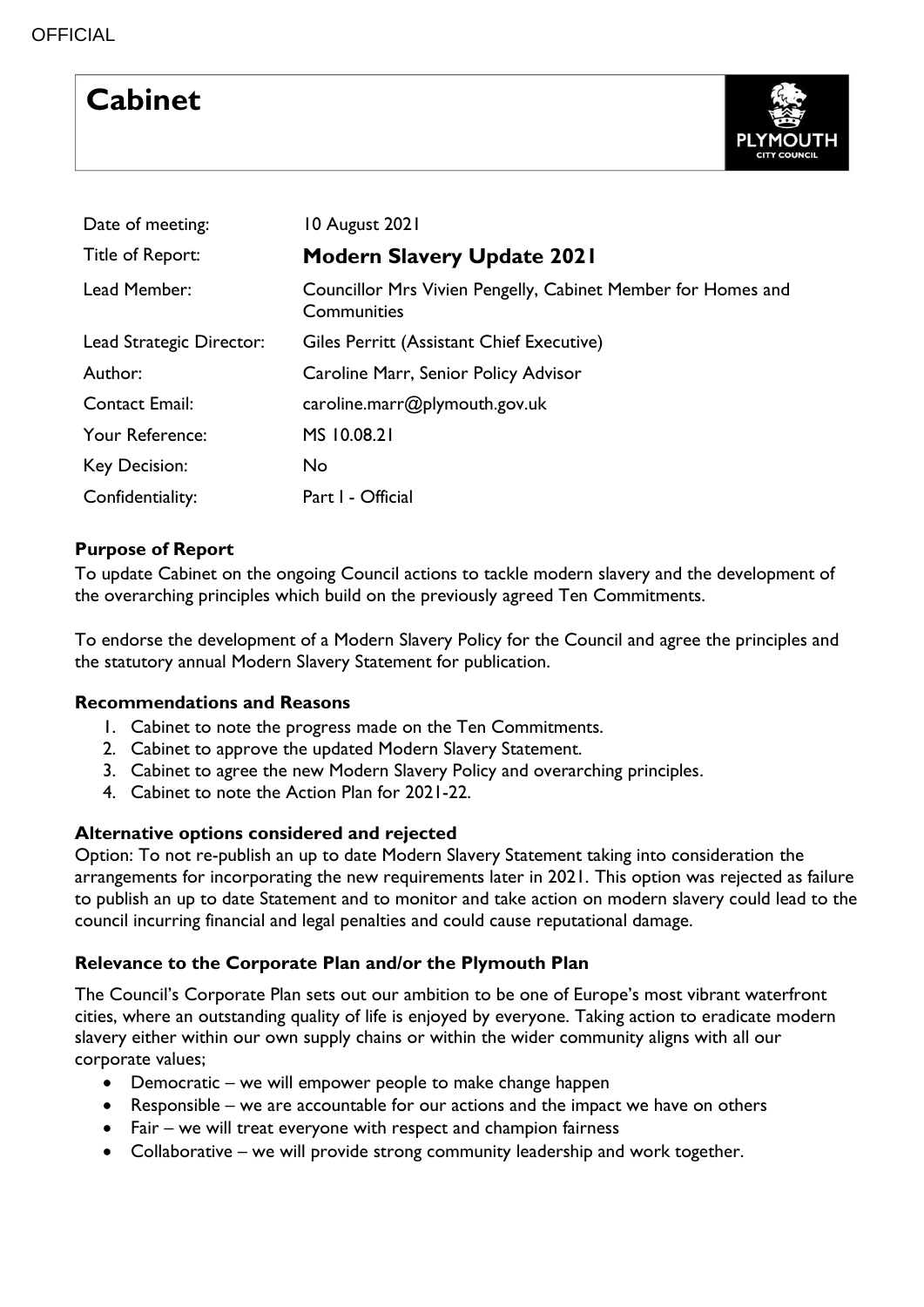# **Cabinet**



| Date of meeting:         | 10 August 2021                                                              |
|--------------------------|-----------------------------------------------------------------------------|
| Title of Report:         | <b>Modern Slavery Update 2021</b>                                           |
| Lead Member:             | Councillor Mrs Vivien Pengelly, Cabinet Member for Homes and<br>Communities |
| Lead Strategic Director: | Giles Perritt (Assistant Chief Executive)                                   |
| Author:                  | Caroline Marr, Senior Policy Advisor                                        |
| Contact Email:           | caroline.marr@plymouth.gov.uk                                               |
| Your Reference:          | MS 10.08.21                                                                 |
| Key Decision:            | No                                                                          |
| Confidentiality:         | Part I - Official                                                           |

# **Purpose of Report**

To update Cabinet on the ongoing Council actions to tackle modern slavery and the development of the overarching principles which build on the previously agreed Ten Commitments.

To endorse the development of a Modern Slavery Policy for the Council and agree the principles and the statutory annual Modern Slavery Statement for publication.

# **Recommendations and Reasons**

- 1. Cabinet to note the progress made on the Ten Commitments.
- 2. Cabinet to approve the updated Modern Slavery Statement.
- 3. Cabinet to agree the new Modern Slavery Policy and overarching principles.
- 4. Cabinet to note the Action Plan for 2021-22.

# **Alternative options considered and rejected**

Option: To not re-publish an up to date Modern Slavery Statement taking into consideration the arrangements for incorporating the new requirements later in 2021. This option was rejected as failure to publish an up to date Statement and to monitor and take action on modern slavery could lead to the council incurring financial and legal penalties and could cause reputational damage.

# **Relevance to the Corporate Plan and/or the Plymouth Plan**

The Council's Corporate Plan sets out our ambition to be one of Europe's most vibrant waterfront cities, where an outstanding quality of life is enjoyed by everyone. Taking action to eradicate modern slavery either within our own supply chains or within the wider community aligns with all our corporate values;

- Democratic we will empower people to make change happen
- Responsible we are accountable for our actions and the impact we have on others
- Fair we will treat everyone with respect and champion fairness
- Collaborative we will provide strong community leadership and work together.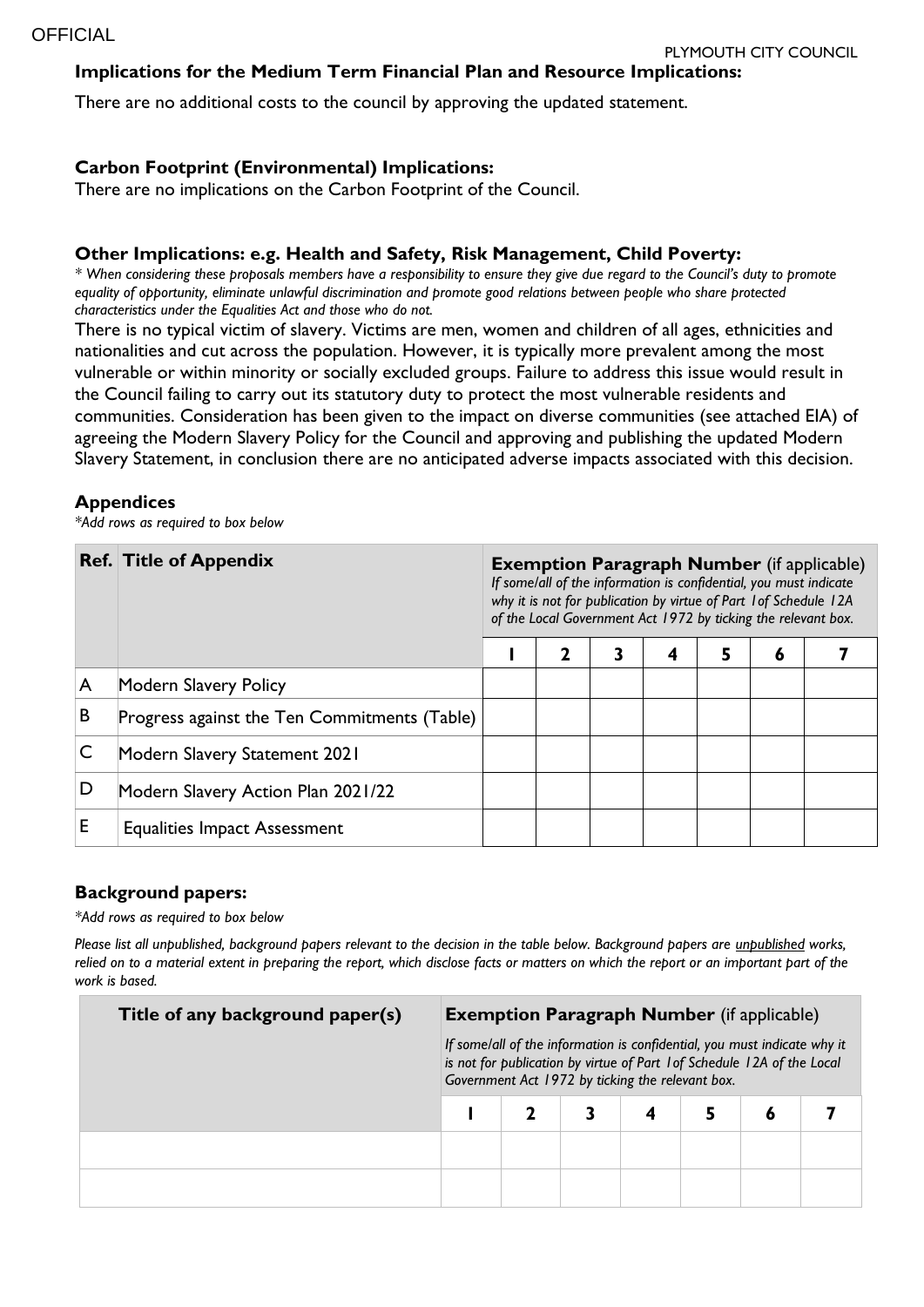#### **Implications for the Medium Term Financial Plan and Resource Implications:**

There are no additional costs to the council by approving the updated statement.

#### **Carbon Footprint (Environmental) Implications:**

There are no implications on the Carbon Footprint of the Council.

#### **Other Implications: e.g. Health and Safety, Risk Management, Child Poverty:**

*\* When considering these proposals members have a responsibility to ensure they give due regard to the Council's duty to promote equality of opportunity, eliminate unlawful discrimination and promote good relations between people who share protected characteristics under the Equalities Act and those who do not.*

There is no typical victim of slavery. Victims are men, women and children of all ages, ethnicities and nationalities and cut across the population. However, it is typically more prevalent among the most vulnerable or within minority or socially excluded groups. Failure to address this issue would result in the Council failing to carry out its statutory duty to protect the most vulnerable residents and communities. Consideration has been given to the impact on diverse communities (see attached EIA) of agreeing the Modern Slavery Policy for the Council and approving and publishing the updated Modern Slavery Statement, in conclusion there are no anticipated adverse impacts associated with this decision.

#### **Appendices**

*\*Add rows as required to box below*

|   | <b>Ref. Title of Appendix</b>                | <b>Exemption Paragraph Number</b> (if applicable)<br>If some/all of the information is confidential, you must indicate<br>why it is not for publication by virtue of Part 1 of Schedule 12A<br>of the Local Government Act 1972 by ticking the relevant box. |   |   |   |   |   |  |
|---|----------------------------------------------|--------------------------------------------------------------------------------------------------------------------------------------------------------------------------------------------------------------------------------------------------------------|---|---|---|---|---|--|
|   |                                              |                                                                                                                                                                                                                                                              | 7 | 3 | 4 | 5 | 6 |  |
| A | Modern Slavery Policy                        |                                                                                                                                                                                                                                                              |   |   |   |   |   |  |
| B | Progress against the Ten Commitments (Table) |                                                                                                                                                                                                                                                              |   |   |   |   |   |  |
|   | <b>Modern Slavery Statement 2021</b>         |                                                                                                                                                                                                                                                              |   |   |   |   |   |  |
| D | Modern Slavery Action Plan 2021/22           |                                                                                                                                                                                                                                                              |   |   |   |   |   |  |
| E | <b>Equalities Impact Assessment</b>          |                                                                                                                                                                                                                                                              |   |   |   |   |   |  |

#### **Background papers:**

*\*Add rows as required to box below*

*Please list all unpublished, background papers relevant to the decision in the table below. Background papers are unpublished works, relied on to a material extent in preparing the report, which disclose facts or matters on which the report or an important part of the work is based.*

| Title of any background paper(s) | <b>Exemption Paragraph Number</b> (if applicable)                                                                                                                                                       |  |  |  |  |   |  |  |  |
|----------------------------------|---------------------------------------------------------------------------------------------------------------------------------------------------------------------------------------------------------|--|--|--|--|---|--|--|--|
|                                  | If some/all of the information is confidential, you must indicate why it<br>is not for publication by virtue of Part 1 of Schedule 12A of the Local<br>Government Act 1972 by ticking the relevant box. |  |  |  |  |   |  |  |  |
|                                  |                                                                                                                                                                                                         |  |  |  |  | O |  |  |  |
|                                  |                                                                                                                                                                                                         |  |  |  |  |   |  |  |  |
|                                  |                                                                                                                                                                                                         |  |  |  |  |   |  |  |  |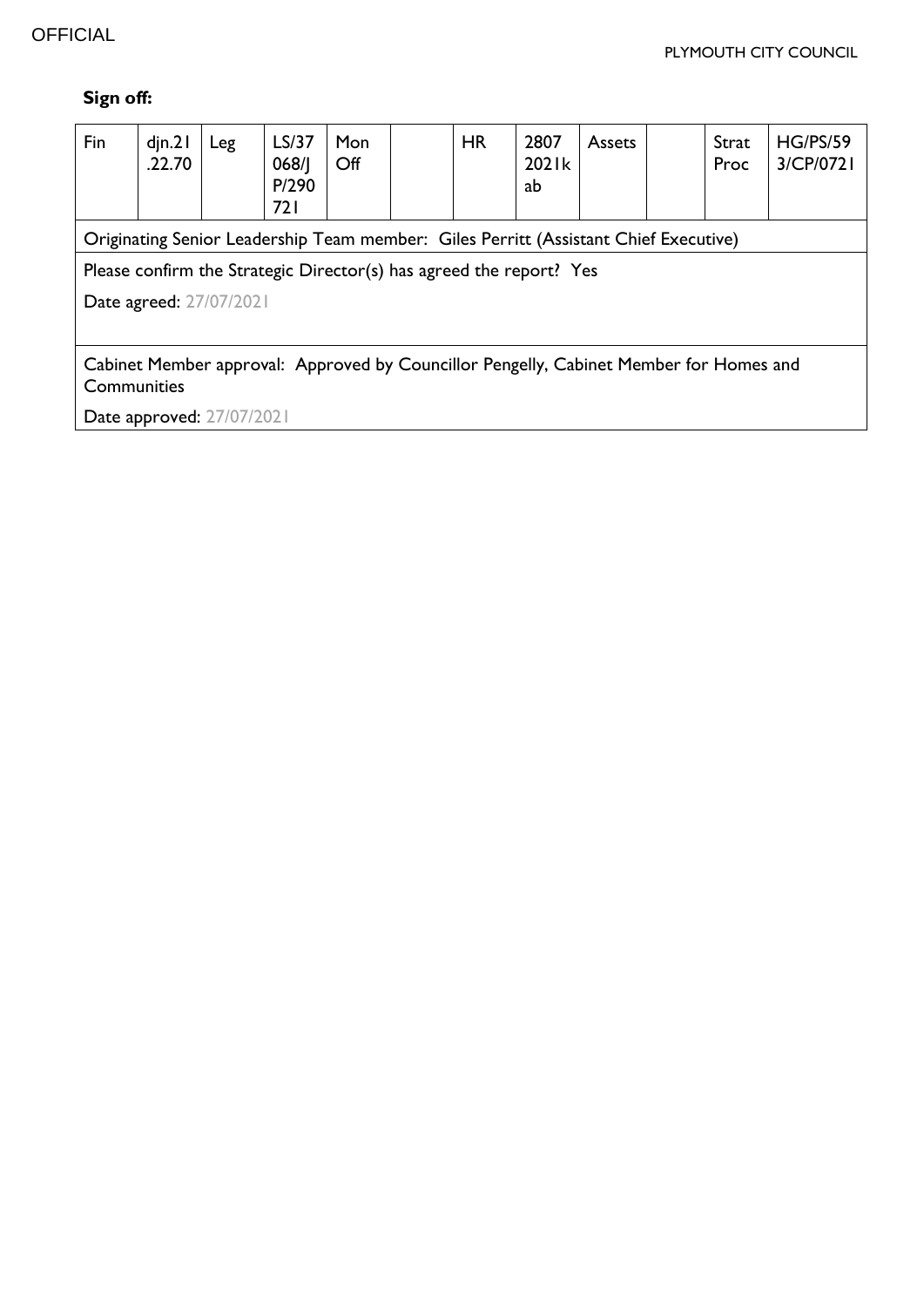# **Sign off:**

| Fin                                                                                                   | $d$ jn.2<br>.22.70 | Leg | LS/37<br>068/1<br>P/290<br>721 | <b>Mon</b><br>$\mathsf{Off}$ |  | <b>HR</b> | 2807<br>2021k<br>ab | <b>Assets</b> |  | Strat<br>Proc | <b>HG/PS/59</b><br>3/CP/0721 |
|-------------------------------------------------------------------------------------------------------|--------------------|-----|--------------------------------|------------------------------|--|-----------|---------------------|---------------|--|---------------|------------------------------|
| Originating Senior Leadership Team member: Giles Perritt (Assistant Chief Executive)                  |                    |     |                                |                              |  |           |                     |               |  |               |                              |
| Please confirm the Strategic Director(s) has agreed the report? Yes                                   |                    |     |                                |                              |  |           |                     |               |  |               |                              |
| Date agreed: 27/07/2021                                                                               |                    |     |                                |                              |  |           |                     |               |  |               |                              |
|                                                                                                       |                    |     |                                |                              |  |           |                     |               |  |               |                              |
| Cabinet Member approval: Approved by Councillor Pengelly, Cabinet Member for Homes and<br>Communities |                    |     |                                |                              |  |           |                     |               |  |               |                              |
| Date approved: 27/07/2021                                                                             |                    |     |                                |                              |  |           |                     |               |  |               |                              |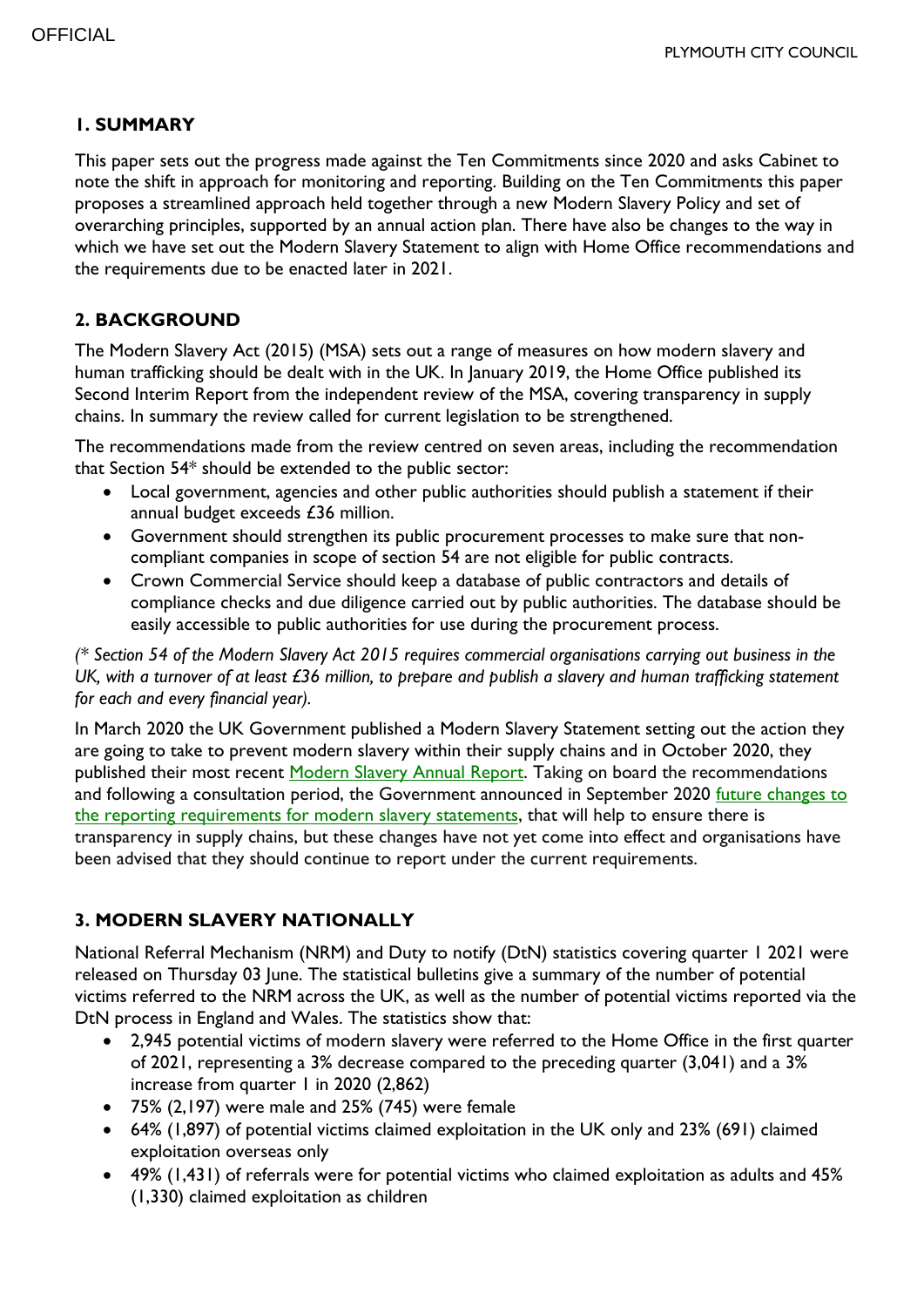#### **1. SUMMARY**

This paper sets out the progress made against the Ten Commitments since 2020 and asks Cabinet to note the shift in approach for monitoring and reporting. Building on the Ten Commitments this paper proposes a streamlined approach held together through a new Modern Slavery Policy and set of overarching principles, supported by an annual action plan. There have also be changes to the way in which we have set out the Modern Slavery Statement to align with Home Office recommendations and the requirements due to be enacted later in 2021.

### **2. BACKGROUND**

The Modern Slavery Act (2015) (MSA) sets out a range of measures on how modern slavery and human trafficking should be dealt with in the UK. In January 2019, the Home Office published its Second Interim Report from the independent review of the MSA, covering transparency in supply chains. In summary the review called for current legislation to be strengthened.

The recommendations made from the review centred on seven areas, including the recommendation that Section 54\* should be extended to the public sector:

- Local government, agencies and other public authorities should publish a statement if their annual budget exceeds £36 million.
- Government should strengthen its public procurement processes to make sure that noncompliant companies in scope of section 54 are not eligible for public contracts.
- Crown Commercial Service should keep a database of public contractors and details of compliance checks and due diligence carried out by public authorities. The database should be easily accessible to public authorities for use during the procurement process.

*(\* Section 54 of the Modern Slavery Act 2015 requires commercial organisations carrying out business in the UK, with a turnover of at least £36 million, to prepare and publish a slavery and human trafficking statement for each and every financial year).*

In March 2020 the UK Government published a Modern Slavery Statement setting out the action they are going to take to prevent modern slavery within their supply chains and in October 2020, they published their most recent [Modern Slavery Annual Report.](https://assets.publishing.service.gov.uk/government/uploads/system/uploads/attachment_data/file/927111/FINAL-_2020_Modern_Slavery_Report_14-10-20.pdf) Taking on board the recommendations and following a consultation period, the Government announced in September 2020 future changes to the reporting [requirements for modern slavery statements,](https://www.gov.uk/government/news/new-tough-measures-to-tackle-modern-slavery-in-supply-chains) that will help to ensure there is transparency in supply chains, but these changes have not yet come into effect and organisations have been advised that they should continue to report under the current requirements.

# **3. MODERN SLAVERY NATIONALLY**

National Referral Mechanism (NRM) and Duty to notify (DtN) statistics covering quarter 1 2021 were released on Thursday 03 June. The statistical bulletins give a summary of the number of potential victims referred to the NRM across the UK, as well as the number of potential victims reported via the DtN process in England and Wales. The statistics show that:

- 2,945 potential victims of modern slavery were referred to the Home Office in the first quarter of 2021, representing a 3% decrease compared to the preceding quarter (3,041) and a 3% increase from quarter 1 in 2020 (2,862)
- 75% (2,197) were male and 25% (745) were female
- 64% (1,897) of potential victims claimed exploitation in the UK only and 23% (691) claimed exploitation overseas only
- 49% (1,431) of referrals were for potential victims who claimed exploitation as adults and 45% (1,330) claimed exploitation as children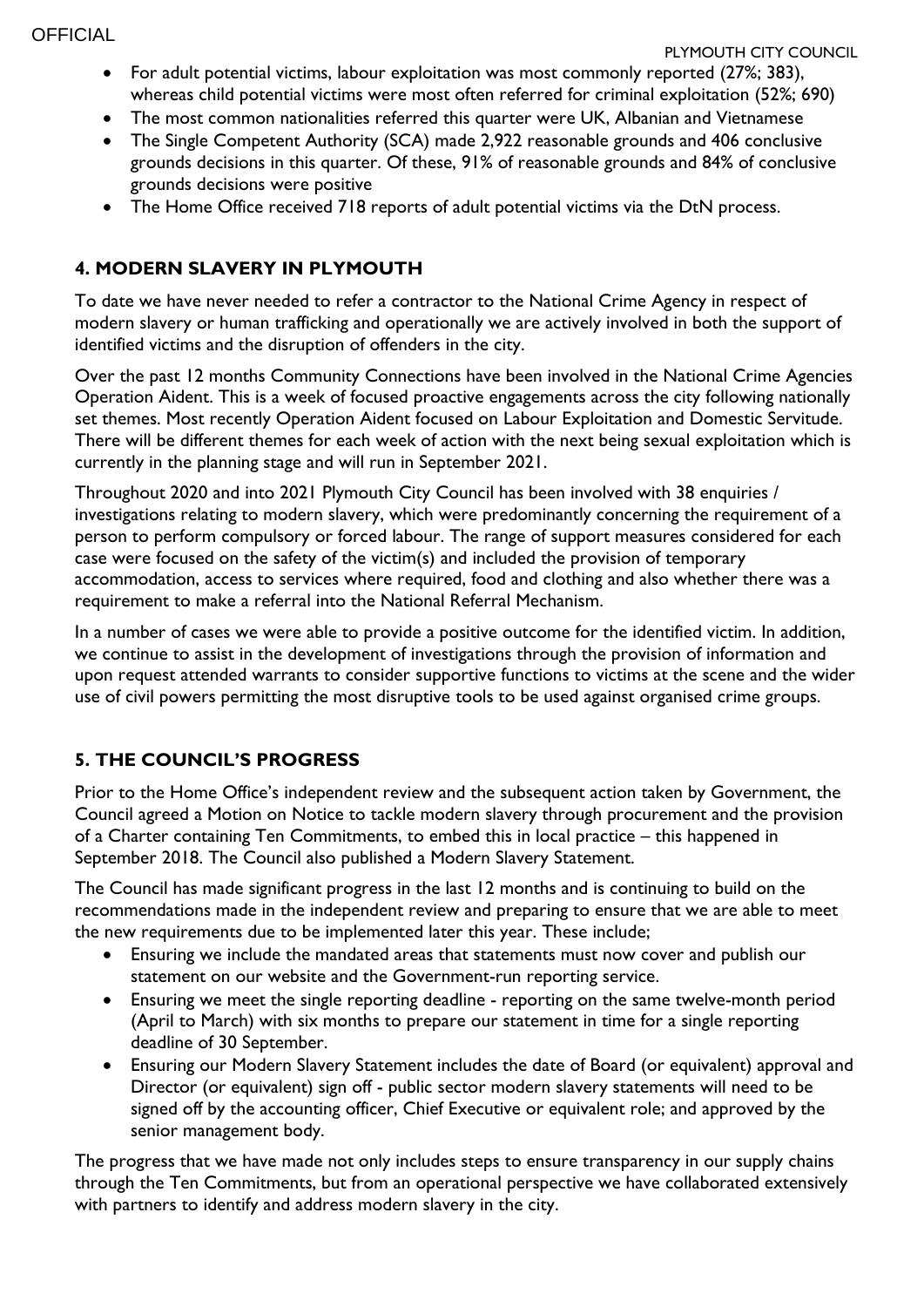- For adult potential victims, labour exploitation was most commonly reported (27%; 383), whereas child potential victims were most often referred for criminal exploitation (52%; 690)
- The most common nationalities referred this quarter were UK, Albanian and Vietnamese
- The Single Competent Authority (SCA) made 2,922 reasonable grounds and 406 conclusive grounds decisions in this quarter. Of these, 91% of reasonable grounds and 84% of conclusive grounds decisions were positive
- The Home Office received 718 reports of adult potential victims via the DtN process.

# **4. MODERN SLAVERY IN PLYMOUTH**

To date we have never needed to refer a contractor to the National Crime Agency in respect of modern slavery or human trafficking and operationally we are actively involved in both the support of identified victims and the disruption of offenders in the city.

Over the past 12 months Community Connections have been involved in the National Crime Agencies Operation Aident. This is a week of focused proactive engagements across the city following nationally set themes. Most recently Operation Aident focused on Labour Exploitation and Domestic Servitude. There will be different themes for each week of action with the next being sexual exploitation which is currently in the planning stage and will run in September 2021.

Throughout 2020 and into 2021 Plymouth City Council has been involved with 38 enquiries / investigations relating to modern slavery, which were predominantly concerning the requirement of a person to perform compulsory or forced labour. The range of support measures considered for each case were focused on the safety of the victim(s) and included the provision of temporary accommodation, access to services where required, food and clothing and also whether there was a requirement to make a referral into the National Referral Mechanism.

In a number of cases we were able to provide a positive outcome for the identified victim. In addition, we continue to assist in the development of investigations through the provision of information and upon request attended warrants to consider supportive functions to victims at the scene and the wider use of civil powers permitting the most disruptive tools to be used against organised crime groups.

# **5. THE COUNCIL'S PROGRESS**

Prior to the Home Office's independent review and the subsequent action taken by Government, the Council agreed a Motion on Notice to tackle modern slavery through procurement and the provision of a Charter containing Ten Commitments, to embed this in local practice – this happened in September 2018. The Council also published a Modern Slavery Statement.

The Council has made significant progress in the last 12 months and is continuing to build on the recommendations made in the independent review and preparing to ensure that we are able to meet the new requirements due to be implemented later this year. These include;

- Ensuring we include the mandated areas that statements must now cover and publish our statement on our website and the Government-run reporting service.
- Ensuring we meet the single reporting deadline reporting on the same twelve-month period (April to March) with six months to prepare our statement in time for a single reporting deadline of 30 September.
- Ensuring our Modern Slavery Statement includes the date of Board (or equivalent) approval and Director (or equivalent) sign off - public sector modern slavery statements will need to be signed off by the accounting officer, Chief Executive or equivalent role; and approved by the senior management body.

The progress that we have made not only includes steps to ensure transparency in our supply chains through the Ten Commitments, but from an operational perspective we have collaborated extensively with partners to identify and address modern slavery in the city.